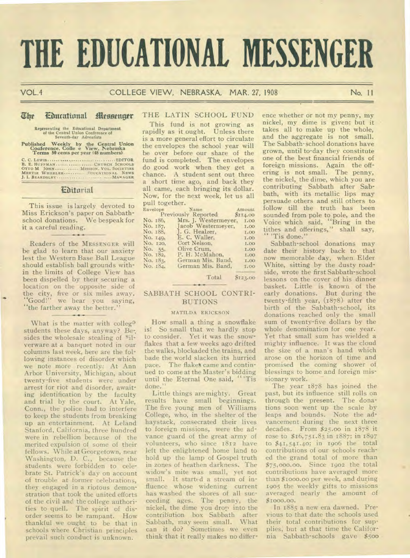# **THE EDUCATIONAL MESSENGER**

# VOL.4 COLLEGE VIEW, NEBRASKA, MAR. 27, 1908 No. 11

# The Concational Messenger

**Representing the Educational Department of the Central Union Conference of Seventh-day Adventists** 

**Published Weekly by the Central Union Conference, Colic e View, Nebraska Terms 50 cents per year (48 numbers)** 

**C. C. LEWIS AN ARREST CHURCH SCHOOLS B. E. HUFFMAN CHURCH SCHOOLS OTTO M JOHN MISSION. VOL. SOCIETIES <br>
<b>OTTO M JOHN CHURCH SCHOOLS CHURCH SCHOOLS AN ARREST PROPERTIE WHEELER B. J. I. BEARDSLEY** 

# **Ebitoriat**

This issue is largely devoted to Miss Erickson's paper on Sabbathschool donations. We bespeak for it a careful reading.

Readers of the **MESSENGER** will be glad to learn that our anxiety lest the Western Base Ball League should establish ball grounds within the limits of College View has been dispelled by their securing a location on the opposite side of the city, five or six miles away. "Good!" we hear you saying, "the farther away the better."

What is the matter with colleg<sup>a</sup> students these days, anyway? Be-. sides the wholesale stealing of <sup>s</sup>ilverware at a banquet noted in our columns last week, here are the following instances of disorder which we note more recently.: At Ann Arbor University, Michigan, about twenty-five students were under arrest for riot and disorder, awaiting identification by the faculty and trial by the court. At Yale, Conn., the police had to interfere to keep the students from breaking up an entertainment. At Leland Stanford, California, three hundred were in rebellion because of the merited expulsion of some of their fellows. While at Georgetown, near Washington, D. C., because the students were forbidden to celebrate St. Patrick's day on account of trouble at former celebrations, they engaged in a riotous demonstration that took the united efforts of the civil and the college authorities to quell. The spirit of disorder seems to be rampant. How thankful we ought to be that in schools where Christian principles prevail such conduct is unknown.

# THE LATIN SCHOOL FUND

This fund is not growing as rapidly as it ought. Unless there is a more general effort to circulate the envelopes the school year will be over before our share of the fund is completed. The envelopes do good work when they get a chance. A student sent out three a short time ago, and back they all came, each bringing its dollar. Now, for the next week, let us all pull together.

| Envelope            |          | Name                    | Amount      |
|---------------------|----------|-------------------------|-------------|
| Previously Reported |          |                         | \$114.00    |
|                     | No. 186, | Mrs. J. Westermeyer.    | <b>I.OO</b> |
|                     | No. 187. | Jacob Westermeyer, 1.00 |             |
|                     | No. 188. | J. G. Healzer,          | 1.00        |
|                     | No. 149, | E. C. Waller,           | <b>I.OO</b> |
|                     | No. 120, | Cort Nelson.            | 1.00        |
|                     | No. 55,  | Olive Crum.             | 1.00        |
|                     | No. 182, | P. H. McMahon,          | <b>I.00</b> |
|                     | No. 183. | German Mis. Band,       | <b>I.OO</b> |
|                     | No. 184. | German Mis. Band.       | 1.00        |

Total **\$123.00** 

# SABBATH SCHOOL CONTRI-BUTIONS

#### **MATILDA ERICKSON**

How small a thing a snowflake<br>is! So small that we hardly stop So small that we hardly stop to consider. Yet it was the snowflakes that a few weeks ago drifted the walks, blockaded the trains, and bade the world slacken its hurried pace. The flakes came and continued to come at the Master's bidding until the Eternal One said, "'Tis done."

Little things are mighty. Great results have small beginnings. The five young men of Williams College, who, in the shelter of the haystack, consecrated their lives to foreign missions, were the advance guard of the great army of volunteers, who since 1812 have left the enlightened home land to hold up the lamp of Gospel truth in zones of heathen darkness. The widow's mite was small, yet not small. It started a stream of influence whose widening current has washed the shores of all succeeding ages. The penny, the nickel, the dime you drop into the contribution box Sabbath after Sabbath, may seem small. What can it do? Sometimes we even think that it really makes no differ-

ence whether or not my penny, my nickel, my dime is given; but it takes all to make up the whole, and the aggregate is not small. The Sabbath-school donations have grown, until to-day they constitute one of the best financial friends of foreign missions. Again the offering is not small. The penny, the nickel, the dime, which you are contributing Sabbath after Sabbath, with its metallic lips may persuade others and still others to follow till the truth has been sounded from pole to pole, and the Voice which said, "Bring in the tithes and offerings," shall say, 'Tis done."

Sabbath-school donations may date their history back to that now memorable day, when. Elder White, sitting by the dusty roadside, wrote the first Sabbath-school lessons on the cover of his dinner basket. Little is known of the early donations. But during the twenty-fifth year, (1878). after the birth of the Sabbath-school, its donations reached only the small sum of twenty-five dollars by the whole denomination for one year. Yet that small sum has wielded a mighty influence. It was the cloud the size of a man's hand which arose on the horizon of time and promised the coming shower of blessings to home and foreign missionary work.

The year 1878 has joined the past, but its influence still rolls on through the present. The donations soon went up the scale by leaps and bounds. Note the advancement during the next three decades. From \$25.00 in 1878 it rose to \$16,751.83 in 1887; in 1897 to \$41,541.40; in 1906 the total contributions of our schools reached the grand total of more than \$75,000.00. Since 1902 the total contributions have averaged more than \$t000.00 per week, and during 1905 the weekly gifts to missions averaged nearly the amount of \$1000.00.

In 1885 a new era dawned. Previous to that date the schools used their total contributions for supplies, but at that time the California Sabbath-schools gave \$5oo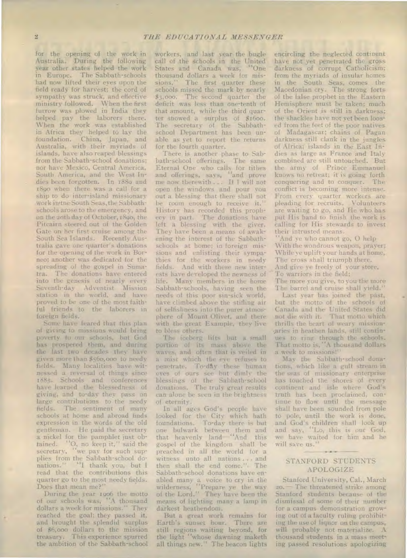for the opening of the work in Australia. During the following Year other states helped the work in Europe. The Sabbath-schools had now lifted their eyes upon the field ready for harvest; the cord of sympathy was struck, and effective ministry followed. When the first furrow was plowed in India they helped pay the laborers there. When the work was established in Africa they helped to lay the foundation. China, Japan, and Australia, with their myriads of islands, have also reaped blessings from the Sabbath-school donations; nor have Mexico, Central America, South America, and the West Indies been forgotten. In 1880 and 1890 when there was a call for a ship to do inter-island missionary work in the South Seas, the Sabbathschools arose to the emergency, and on the zoth day of October, 1890, the Pitcairn steered out of the Golden Gate on her first cruise among the South Sea Islands. Recently Australia gave one quarter's donations for the opening of the work in Borneo; another was dedicated for the spreading of the gospel in Sumatra. The donations have entered into the genesis of nearly every Seventh-day Adventist Mission station in the world, and have proved to be one of the most faithful friends to the laborers in foreign fields.

Some have feared that this plan of giving to missions would bring poverty to our schools, but God has prospered them, and during the last two decades they have given more than \$56o,000 to needy fields. Many localities have witnessed a reversal of things since 1885. Schools and conferences have learned the blessedness of giving, and to-day they pass on large contributions to the needy fields. The sentiment of many schools at home and abroad finds expression in the words of the old gentleman. He paid the secretary a nickel for the pamphlet just obtained. "0, no keep it," said the secretary, "we pay for such supplies from the Sabbath-school donations." "I thank you, but I read that the contributions this quarter go to the most needy fields. Does that mean me?"

During the year 1906 the motto of our schools was, "A thousand dollars a week for missions." They reached the goal; they passed it, and brought the splendid surplus of \$6,000 dollars to the mission treasury. This experience spurred the ambition of the Sabbath-school

workers, and last year the bugle call of the schools in the United States and Canada was, "One thousand dollars a week for missions." The first quarter these schools missed the mark by nearly \$3,000. The second quarter the deficit was less than one-tenth of that amount, while the third quarter showed a surplus of \$1600. The secretary of the Sabbathschool Department has been unable as yet to report the returns for the fourth quarter.

There is another phase to Sabbath-school offerings. The same Eternal One who calls for tithes and offerings, says, "and prove me now therewith ... If I will not open the windows and pour you out a blessing that there shall not be room enough to receive it." History has recorded this prophecy in part. The donations have left a blessing with the giver. They have been a means of awakening the interest of the Sabbathschools at home; in foreign missions and enlisting their sympathies for the workers in needy fields. And with these new interests have developed the newness of life. Many members in the home Sabbath-schools, having seen the needs of this poor sin-sick world, have climbed above the stifling air of selfishness into the purer atmosphere of Mount Olivet, and there with the great Example, they live to bless others.

The iceberg lifts but a small portion of its mass above the waves, and often that is veiled in a mist which the eve refuses to penetrate. To-day these human eyes of ours see but dimly the blessings of the Sabbath-school donations. The truly great results can alone be seen in the brightness of eternity.

In all ages God's people have looked for the City which bath foundations. To-day there is but one bulwark between them and that heavenly land—"And this gospel of the kingdom shall be preached in all the world for a witness unto all nations ... and then shall the end come."• The Sabbath-school donations have enabled many a voice to cry in the wilderness, "Prepare ye the way of the Lord." They have been the means of lighting many a lamp in darkest heathendom.

But a great work remains for Earth's sunset hour. There are still regions waiting beyond, for the light "whose dawning maketh all things new." The beacon lights encircling the neglected continent have not yet penetrated the gross darkness of corrupt Catholicism; from the myriads of insular homes in the South Seas, comes the Macedonian cry. The strong forts of the false prophet in the Eastern Hemisphere must be taken; much of the Orient is still in darkness; the shackles have not yet been loosed from the feet of the poor natives of Madagascar; chains of Pagan darkness still clank in the jungles of Africa; islands in the East Indies as large as France and Italy combined are still untouched. But the army of Prince Emmanuel knows no retreat; it is going forth conquering and to conquer. The conflict is becoming more intense. From every quarter workers are pleading for recruits. Volunteers are waiting to go, and He who has put His hand to finish the work is calling for His stewards to invest their intrusted means.

And ye who cannot go, O help With the wondrous weapon, prayer; While ye uplift your hands at home, The cross shall triumph there. And give ye freely of your store, To warriors in the field; The more you give, to you the more

The barrel and cruise shall yield." Last year has joined the past, but the motto of the schools of Canada and the United States did

not die with it. That motto which thrills the heart of weary mission- -Aries in heathen lands, still continues to ring through the schools. That motto is, "A thousand dollars a week to missions!"

May the Sabbath-school donations, which like a gulf stream in the seas of missionary enterprise has touched the shores of every continent and isle where God's truth has been proclaimed, continue to flow until the message shall have been sounded from pole to pole, until the work is done, and God's children shall look up and say, "Lo, this is our God, we have waited for him and he will save us."

# STANFORD STUDENTS APOLOGIZE

Stanford University, Cal., March 20.- The threatened strike among Stanford students because of the dismissal of some of their number for a campus demonstration growing out of a faculty ruling prohibiting the use of liquor on the campus, will probably not materialize. A thousand students in a mass meeting passed resolutions apologizing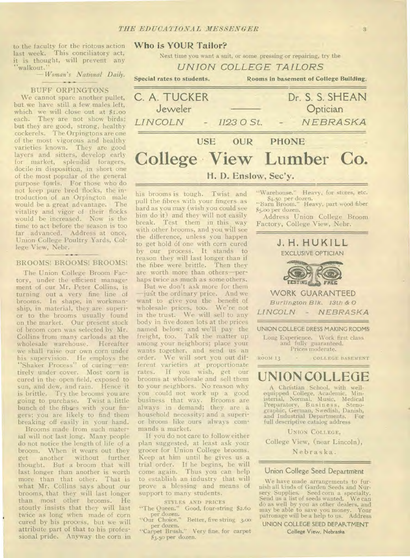to the faculty for the riotous action last week. This conciliatory act, it is thought, will prevent any "walkout."

*—Woman's National Daily.* 

#### BUFF ORPINGTONS

We cannot spare another pullet, but we have still a few males left, which we will close out at \$1.00 each. They are not show birds; but they are good, strong, healthy cockerels. The Orpingtons are one of the most vigorous and healthy varieties known. They are good layers and sitters, develop early for market, splendid foragers, docile in disposition, in short one of the most popular of the general purpose fowls. For those who do not keep pure bred flocks, the introduction of an Orpington male would be a great advantage. The vitality and vigor of their flocks would be increased. Now is the time to act before the season is too far advanced. Address at once, Union College Poultry Yards, College View, Nebr.

#### BROOMS! BROOMS! BROOMS!

The Union College Broom Factory, under the efficient management of our Mr. Peter Collins, is turning out a very fine line of brooms. In shape, in workmanship, in material, they are superior to the brooms usually found on the market. Our present stock of broom corn was selected by Mr. Collins from many carloads at the wholesale warehouse. Hereafter we shall raise our own corn under his supervision. He employs the "Shaker Process" of curing—entirely under cover. Most corn is cured in the open field, exposed to sun, and dew, and rain. Hence it is brittle. Try the brooms you are going to purchase. Twist a little bunch of the fibres with your fingers; you are likely to find them breaking off easily in your hand.

Brooms made from such material will not last long. Many people do not notice the length of life of a broom. When it wears out they<br>get another without further without further thought. But a broom that will last longer than another is worth more than that other. That is what Mr. Collins says about our brooms, that they will last longer than most other brooms. He stoutly insists that they will last twice as long when made of corn cured by his process, but we will attribute part of that to his professional pride. Anyway the corn in

#### **Who is YOUR Tailor?**

Next time you want a suit, or some pressing or repairing, try the

*UNION COLLEGE TAILORS* 

Special rates to students. Rooms in basement of College Building.



his brooms is tough. Twist and pull the fibres with your fingers as hard as you may (wish you could see him do it) and they will not easily break. Test them in this way with other brooms, and you will see the difference, unless you happen to get hold of one with corn cured by our process. It stands to reason they will last longer than if the fibre were brittle. Then they are worth more than others—perhaps twice as much as some others.

But we don't ask more for them just the ordinary price. And we want to give you the benefit of wholesale prices, too. We're not in the trust. We will sell to any body in five dozen lots at the prices named below; and we'll pay the freight, too. Talk the matter up among your neighbors; place your wants together, and send us an order. We will sort you out different varieties at proportionate rates. If you wish, get our brooms at wholesale and sell them to your neighbors. No reason why you could not work up a good business that way. Brooms are always in demand; they are a household necessity; and a superior broom like ours always commands a market.

If you do not care to follow either plan suggested, at least ask your grocer for Union College brooms. Keep at him until he gives us a trial order. If he begins, he will come again. Thus you can help to establish an industry that will prove a blessing and means of support to many students.

STYLES AND PRICES

- "The Queen." Good, four-string \$2.60
- per dozen. "Our Choice." Better, five string 3.00 per dozen.
- "Carpet Brush." Very fine, for carpet \$3.5o per dozen.



"Warehouse." Heavy, for stores, etc.

"Barn Broom." Heavy, part wood fiber

\$4.5o per dozen.

\$5.00 per dozen.

and fully guaranteed. Prices moderate.

ROOM 13 - COLLEGE BASEMENT

# **UNION COLLEGE**

A Christian School, with wellequipped College, Academic, Min-isterial, Normal, Music, Medical Preparatory, B usines s, Steno-graphic, German, Swedish, Danish, and Industrial Departments. For full descriptive catalog address

UNION COLLEGE,

College View, (near Lincoln),

Nebraska.

#### **Union College Seed Department**

We have made arrangements to furnish all kinds of Garden Seeds and Nursery Supplies. Seed corn a specialty. Send us a list of seeds wanted. We can do as well by you as other dealers, and may be able to save you money. Your patronage will be a help to us. Address **UNION COLLEGE SEED DEPARTMENT** 

**College View, Nebraska**